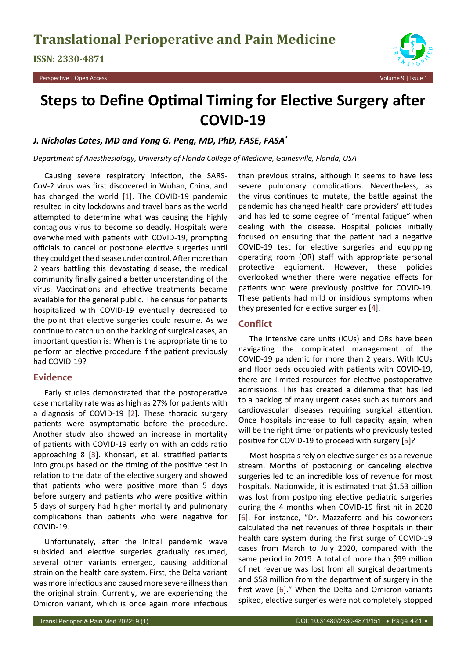

# **Steps to Define Optimal Timing for Elective Surgery after COVID-19**

#### *J. Nicholas Cates, MD and Yong G. Peng, MD, PhD, FASE, FASA\**

*Department of Anesthesiology, University of Florida College of Medicine, Gainesville, Florida, USA*

Causing severe respiratory infection, the SARS-CoV-2 virus was first discovered in Wuhan, China, and has changed the world [[1](#page-1-3)]. The COVID-19 pandemic resulted in city lockdowns and travel bans as the world attempted to determine what was causing the highly contagious virus to become so deadly. Hospitals were overwhelmed with patients with COVID-19, prompting officials to cancel or postpone elective surgeries until they could get the disease under control. After more than 2 years battling this devastating disease, the medical community finally gained a better understanding of the virus. Vaccinations and effective treatments became available for the general public. The census for patients hospitalized with COVID-19 eventually decreased to the point that elective surgeries could resume. As we continue to catch up on the backlog of surgical cases, an important question is: When is the appropriate time to perform an elective procedure if the patient previously had COVID-19?

## **Evidence**

Early studies demonstrated that the postoperative case mortality rate was as high as 27% for patients with a diagnosis of COVID-19 [[2](#page-1-4)]. These thoracic surgery patients were asymptomatic before the procedure. Another study also showed an increase in mortality of patients with COVID-19 early on with an odds ratio approaching 8 [[3](#page-1-5)]. Khonsari, et al. stratified patients into groups based on the timing of the positive test in relation to the date of the elective surgery and showed that patients who were positive more than 5 days before surgery and patients who were positive within 5 days of surgery had higher mortality and pulmonary complications than patients who were negative for COVID-19.

Unfortunately, after the initial pandemic wave subsided and elective surgeries gradually resumed, several other variants emerged, causing additional strain on the health care system. First, the Delta variant was more infectious and caused more severe illness than the original strain. Currently, we are experiencing the Omicron variant, which is once again more infectious

than previous strains, although it seems to have less severe pulmonary complications. Nevertheless, as the virus continues to mutate, the battle against the pandemic has changed health care providers' attitudes and has led to some degree of "mental fatigue" when dealing with the disease. Hospital policies initially focused on ensuring that the patient had a negative COVID-19 test for elective surgeries and equipping operating room (OR) staff with appropriate personal protective equipment. However, these policies overlooked whether there were negative effects for patients who were previously positive for COVID-19. These patients had mild or insidious symptoms when they presented for elective surgeries [[4](#page-1-0)].

## **Conflict**

The intensive care units (ICUs) and ORs have been navigating the complicated management of the COVID-19 pandemic for more than 2 years. With ICUs and floor beds occupied with patients with COVID-19, there are limited resources for elective postoperative admissions. This has created a dilemma that has led to a backlog of many urgent cases such as tumors and cardiovascular diseases requiring surgical attention. Once hospitals increase to full capacity again, when will be the right time for patients who previously tested positive for COVID-19 to proceed with surgery [[5](#page-1-1)]?

Most hospitals rely on elective surgeries as a revenue stream. Months of postponing or canceling elective surgeries led to an incredible loss of revenue for most hospitals. Nationwide, it is estimated that \$1.53 billion was lost from postponing elective pediatric surgeries during the 4 months when COVID-19 first hit in 2020 [[6](#page-1-2)]. For instance, "Dr. Mazzaferro and his coworkers calculated the net revenues of three hospitals in their health care system during the first surge of COVID-19 cases from March to July 2020, compared with the same period in 2019. A total of more than \$99 million of net revenue was lost from all surgical departments and \$58 million from the department of surgery in the first wave [[6](#page-1-2)]." When the Delta and Omicron variants spiked, elective surgeries were not completely stopped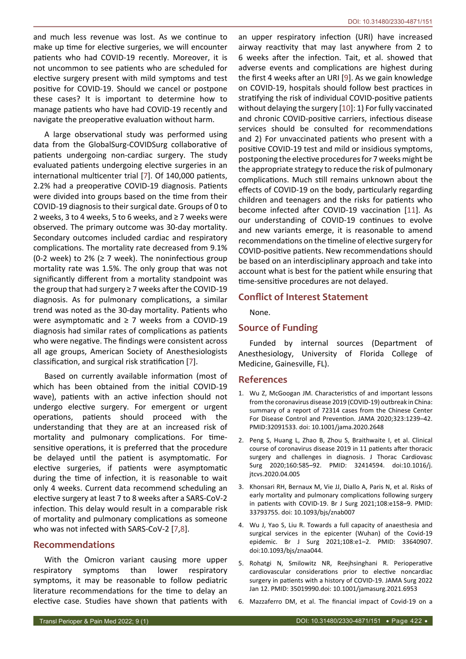and much less revenue was lost. As we continue to make up time for elective surgeries, we will encounter patients who had COVID-19 recently. Moreover, it is not uncommon to see patients who are scheduled for elective surgery present with mild symptoms and test positive for COVID-19. Should we cancel or postpone these cases? It is important to determine how to manage patients who have had COVID-19 recently and navigate the preoperative evaluation without harm.

A large observational study was performed using data from the GlobalSurg-COVIDSurg collaborative of patients undergoing non-cardiac surgery. The study evaluated patients undergoing elective surgeries in an international multicenter trial [\[7\]](#page-2-3). Of 140,000 patients, 2.2% had a preoperative COVID-19 diagnosis. Patients were divided into groups based on the time from their COVID-19 diagnosis to their surgical date. Groups of 0 to 2 weeks, 3 to 4 weeks, 5 to 6 weeks, and  $\geq$  7 weeks were observed. The primary outcome was 30-day mortality. Secondary outcomes included cardiac and respiratory complications. The mortality rate decreased from 9.1% (0-2 week) to 2% ( $\geq$  7 week). The noninfectious group mortality rate was 1.5%. The only group that was not significantly different from a mortality standpoint was the group that had surgery ≥ 7 weeks after the COVID-19 diagnosis. As for pulmonary complications, a similar trend was noted as the 30-day mortality. Patients who were asymptomatic and ≥ 7 weeks from a COVID-19 diagnosis had similar rates of complications as patients who were negative. The findings were consistent across all age groups, American Society of Anesthesiologists classification, and surgical risk stratification [\[7\]](#page-2-3).

Based on currently available information (most of which has been obtained from the initial COVID-19 wave), patients with an active infection should not undergo elective surgery. For emergent or urgent operations, patients should proceed with the understanding that they are at an increased risk of mortality and pulmonary complications. For timesensitive operations, it is preferred that the procedure be delayed until the patient is asymptomatic. For elective surgeries, if patients were asymptomatic during the time of infection, it is reasonable to wait only 4 weeks. Current data recommend scheduling an elective surgery at least 7 to 8 weeks after a SARS-CoV-2 infection. This delay would result in a comparable risk of mortality and pulmonary complications as someone who was not infected with SARS-CoV-2 [\[7](#page-2-3),[8](#page-2-4)].

#### **Recommendations**

With the Omicron variant causing more upper respiratory symptoms than lower respiratory symptoms, it may be reasonable to follow pediatric literature recommendations for the time to delay an elective case. Studies have shown that patients with

an upper respiratory infection (URI) have increased airway reactivity that may last anywhere from 2 to 6 weeks after the infection. Tait, et al. showed that adverse events and complications are highest during the first 4 weeks after an URI [[9](#page-2-0)]. As we gain knowledge on COVID-19, hospitals should follow best practices in stratifying the risk of individual COVID-positive patients without delaying the surgery [[10\]](#page-2-1): 1) For fully vaccinated and chronic COVID-positive carriers, infectious disease services should be consulted for recommendations and 2) For unvaccinated patients who present with a positive COVID-19 test and mild or insidious symptoms, postponing the elective procedures for 7 weeks might be the appropriate strategy to reduce the risk of pulmonary complications. Much still remains unknown about the effects of COVID-19 on the body, particularly regarding children and teenagers and the risks for patients who become infected after COVID-19 vaccination [[11](#page-2-2)]. As our understanding of COVID-19 continues to evolve and new variants emerge, it is reasonable to amend recommendations on the timeline of elective surgery for COVID-positive patients. New recommendations should be based on an interdisciplinary approach and take into account what is best for the patient while ensuring that time-sensitive procedures are not delayed.

### **Conflict of Interest Statement**

None.

#### **Source of Funding**

Funded by internal sources (Department of Anesthesiology, University of Florida College of Medicine, Gainesville, FL).

#### **References**

- <span id="page-1-3"></span>1. Wu Z, McGoogan JM. Characteristics of and important lessons from the coronavirus disease 2019 (COVID-19) outbreak in China: summary of a report of 72314 cases from the Chinese Center For Disease Control and Prevention. JAMA 2020;323:1239–42. PMID:32091533. doi: 10.1001/jama.2020.2648
- <span id="page-1-4"></span>2. Peng S, Huang L, Zhao B, Zhou S, Braithwaite I, et al. Clinical course of coronavirus disease 2019 in 11 patients after thoracic surgery and challenges in diagnosis. J Thorac Cardiovasc Surg 2020;160:585–92. PMID: 32414594. doi:10.1016/j. jtcvs.2020.04.005
- <span id="page-1-5"></span>3. Khonsari RH, Bernaux M, Vie JJ, Diallo A, Paris N, et al. Risks of early mortality and pulmonary complications following surgery in patients with COVID-19. Br J Surg 2021;108:e158–9. PMID: 33793755. doi: 10.1093/bjs/znab007
- <span id="page-1-0"></span>4. Wu J, Yao S, Liu R. Towards a full capacity of anaesthesia and surgical services in the epicenter (Wuhan) of the Covid-19 epidemic. Br J Surg 2021;108:e1–2. PMID: 33640907. doi:10.1093/bjs/znaa044.
- <span id="page-1-1"></span>5. Rohatgi N, Smilowitz NR, Reejhsinghani R. Perioperative cardiovascular considerations prior to elective noncardiac surgery in patients with a history of COVID-19. JAMA Surg 2022 Jan 12. PMID: 35019990.doi: 10.1001/jamasurg.2021.6953
- <span id="page-1-2"></span>6. Mazzaferro DM, et al. The financial impact of Covid-19 on a